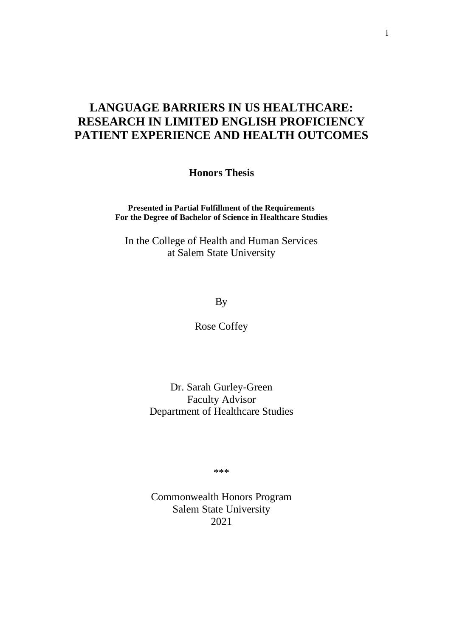# **LANGUAGE BARRIERS IN US HEALTHCARE: RESEARCH IN LIMITED ENGLISH PROFICIENCY PATIENT EXPERIENCE AND HEALTH OUTCOMES**

**Honors Thesis**

**Presented in Partial Fulfillment of the Requirements For the Degree of Bachelor of Science in Healthcare Studies**

In the College of Health and Human Services at Salem State University

By

Rose Coffey

Dr. Sarah Gurley-Green Faculty Advisor Department of Healthcare Studies

\*\*\*

Commonwealth Honors Program Salem State University 2021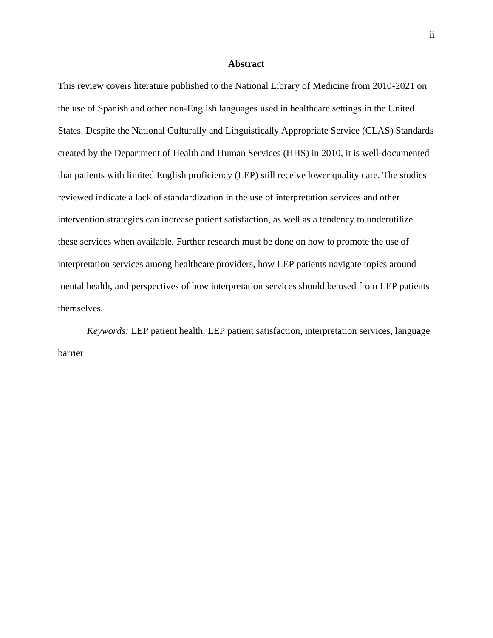#### **Abstract**

This review covers literature published to the National Library of Medicine from 2010-2021 on the use of Spanish and other non-English languages used in healthcare settings in the United States. Despite the National Culturally and Linguistically Appropriate Service (CLAS) Standards created by the Department of Health and Human Services (HHS) in 2010, it is well-documented that patients with limited English proficiency (LEP) still receive lower quality care. The studies reviewed indicate a lack of standardization in the use of interpretation services and other intervention strategies can increase patient satisfaction, as well as a tendency to underutilize these services when available. Further research must be done on how to promote the use of interpretation services among healthcare providers, how LEP patients navigate topics around mental health, and perspectives of how interpretation services should be used from LEP patients themselves.

*Keywords:* LEP patient health, LEP patient satisfaction, interpretation services, language barrier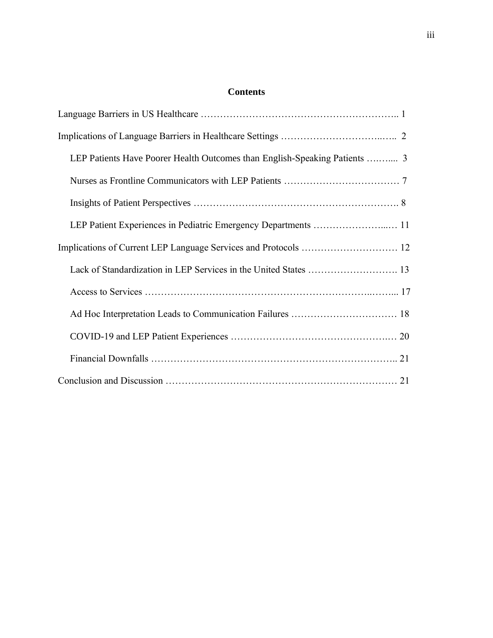## **Contents**

| LEP Patients Have Poorer Health Outcomes than English-Speaking Patients  3 |
|----------------------------------------------------------------------------|
|                                                                            |
|                                                                            |
| LEP Patient Experiences in Pediatric Emergency Departments  11             |
|                                                                            |
| Lack of Standardization in LEP Services in the United States  13           |
|                                                                            |
| Ad Hoc Interpretation Leads to Communication Failures  18                  |
|                                                                            |
|                                                                            |
|                                                                            |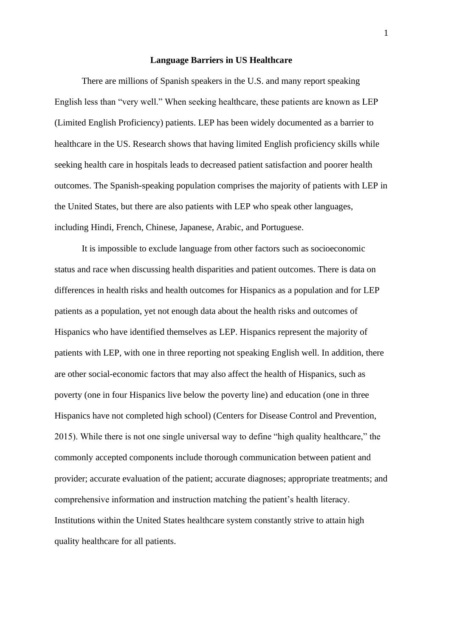#### **Language Barriers in US Healthcare**

There are millions of Spanish speakers in the U.S. and many report speaking English less than "very well." When seeking healthcare, these patients are known as LEP (Limited English Proficiency) patients. LEP has been widely documented as a barrier to healthcare in the US. Research shows that having limited English proficiency skills while seeking health care in hospitals leads to decreased patient satisfaction and poorer health outcomes. The Spanish-speaking population comprises the majority of patients with LEP in the United States, but there are also patients with LEP who speak other languages, including Hindi, French, Chinese, Japanese, Arabic, and Portuguese.

It is impossible to exclude language from other factors such as socioeconomic status and race when discussing health disparities and patient outcomes. There is data on differences in health risks and health outcomes for Hispanics as a population and for LEP patients as a population, yet not enough data about the health risks and outcomes of Hispanics who have identified themselves as LEP. Hispanics represent the majority of patients with LEP, with one in three reporting not speaking English well. In addition, there are other social-economic factors that may also affect the health of Hispanics, such as poverty (one in four Hispanics live below the poverty line) and education (one in three Hispanics have not completed high school) (Centers for Disease Control and Prevention, 2015). While there is not one single universal way to define "high quality healthcare," the commonly accepted components include thorough communication between patient and provider; accurate evaluation of the patient; accurate diagnoses; appropriate treatments; and comprehensive information and instruction matching the patient's health literacy. Institutions within the United States healthcare system constantly strive to attain high quality healthcare for all patients.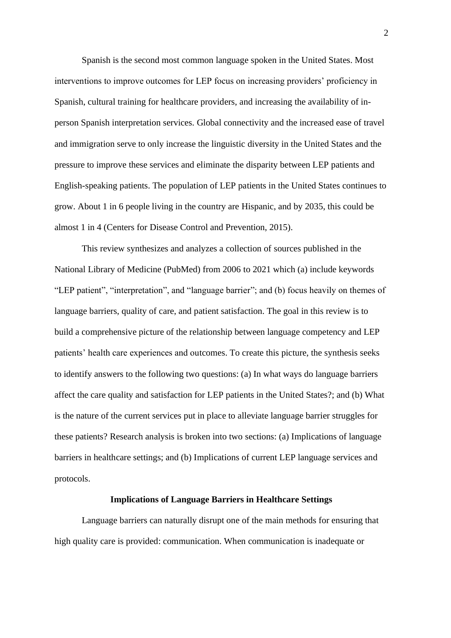Spanish is the second most common language spoken in the United States. Most interventions to improve outcomes for LEP focus on increasing providers' proficiency in Spanish, cultural training for healthcare providers, and increasing the availability of inperson Spanish interpretation services. Global connectivity and the increased ease of travel and immigration serve to only increase the linguistic diversity in the United States and the pressure to improve these services and eliminate the disparity between LEP patients and English-speaking patients. The population of LEP patients in the United States continues to grow. About 1 in 6 people living in the country are Hispanic, and by 2035, this could be almost 1 in 4 (Centers for Disease Control and Prevention, 2015).

This review synthesizes and analyzes a collection of sources published in the National Library of Medicine (PubMed) from 2006 to 2021 which (a) include keywords "LEP patient", "interpretation", and "language barrier"; and (b) focus heavily on themes of language barriers, quality of care, and patient satisfaction. The goal in this review is to build a comprehensive picture of the relationship between language competency and LEP patients' health care experiences and outcomes. To create this picture, the synthesis seeks to identify answers to the following two questions: (a) In what ways do language barriers affect the care quality and satisfaction for LEP patients in the United States?; and (b) What is the nature of the current services put in place to alleviate language barrier struggles for these patients? Research analysis is broken into two sections: (a) Implications of language barriers in healthcare settings; and (b) Implications of current LEP language services and protocols.

## **Implications of Language Barriers in Healthcare Settings**

Language barriers can naturally disrupt one of the main methods for ensuring that high quality care is provided: communication. When communication is inadequate or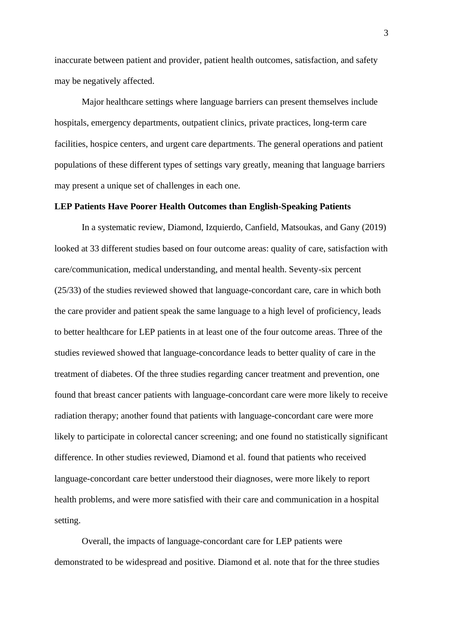inaccurate between patient and provider, patient health outcomes, satisfaction, and safety may be negatively affected.

Major healthcare settings where language barriers can present themselves include hospitals, emergency departments, outpatient clinics, private practices, long-term care facilities, hospice centers, and urgent care departments. The general operations and patient populations of these different types of settings vary greatly, meaning that language barriers may present a unique set of challenges in each one.

## **LEP Patients Have Poorer Health Outcomes than English-Speaking Patients**

In a systematic review, Diamond, Izquierdo, Canfield, Matsoukas, and Gany (2019) looked at 33 different studies based on four outcome areas: quality of care, satisfaction with care/communication, medical understanding, and mental health. Seventy-six percent (25/33) of the studies reviewed showed that language-concordant care, care in which both the care provider and patient speak the same language to a high level of proficiency, leads to better healthcare for LEP patients in at least one of the four outcome areas. Three of the studies reviewed showed that language-concordance leads to better quality of care in the treatment of diabetes. Of the three studies regarding cancer treatment and prevention, one found that breast cancer patients with language-concordant care were more likely to receive radiation therapy; another found that patients with language-concordant care were more likely to participate in colorectal cancer screening; and one found no statistically significant difference. In other studies reviewed, Diamond et al. found that patients who received language-concordant care better understood their diagnoses, were more likely to report health problems, and were more satisfied with their care and communication in a hospital setting.

Overall, the impacts of language-concordant care for LEP patients were demonstrated to be widespread and positive. Diamond et al. note that for the three studies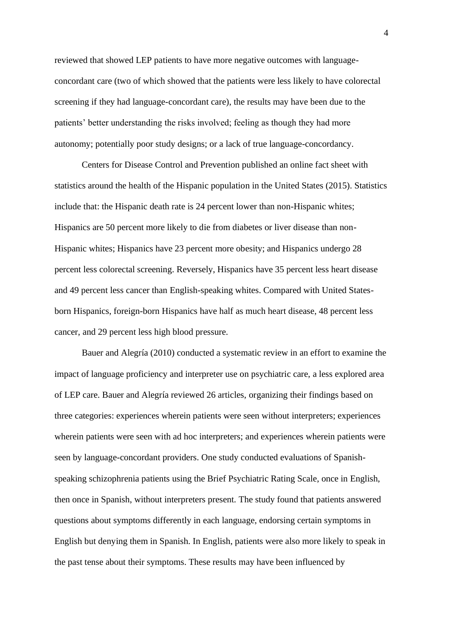reviewed that showed LEP patients to have more negative outcomes with languageconcordant care (two of which showed that the patients were less likely to have colorectal screening if they had language-concordant care), the results may have been due to the patients' better understanding the risks involved; feeling as though they had more autonomy; potentially poor study designs; or a lack of true language-concordancy.

Centers for Disease Control and Prevention published an online fact sheet with statistics around the health of the Hispanic population in the United States (2015). Statistics include that: the Hispanic death rate is 24 percent lower than non-Hispanic whites; Hispanics are 50 percent more likely to die from diabetes or liver disease than non-Hispanic whites; Hispanics have 23 percent more obesity; and Hispanics undergo 28 percent less colorectal screening. Reversely, Hispanics have 35 percent less heart disease and 49 percent less cancer than English-speaking whites. Compared with United Statesborn Hispanics, foreign-born Hispanics have half as much heart disease, 48 percent less cancer, and 29 percent less high blood pressure.

Bauer and Alegría (2010) conducted a systematic review in an effort to examine the impact of language proficiency and interpreter use on psychiatric care, a less explored area of LEP care. Bauer and Alegría reviewed 26 articles, organizing their findings based on three categories: experiences wherein patients were seen without interpreters; experiences wherein patients were seen with ad hoc interpreters; and experiences wherein patients were seen by language-concordant providers. One study conducted evaluations of Spanishspeaking schizophrenia patients using the Brief Psychiatric Rating Scale, once in English, then once in Spanish, without interpreters present. The study found that patients answered questions about symptoms differently in each language, endorsing certain symptoms in English but denying them in Spanish. In English, patients were also more likely to speak in the past tense about their symptoms. These results may have been influenced by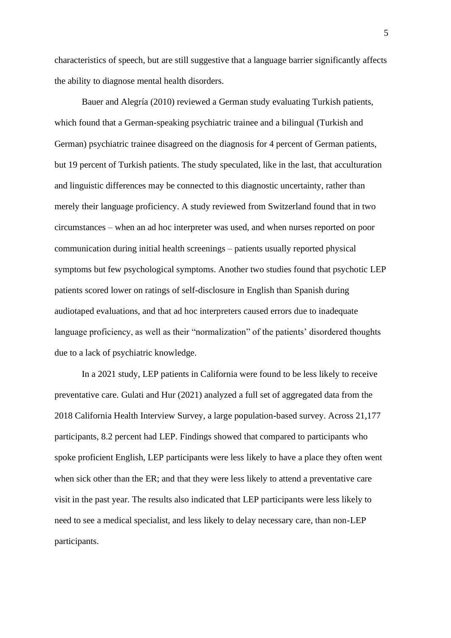characteristics of speech, but are still suggestive that a language barrier significantly affects the ability to diagnose mental health disorders.

Bauer and Alegría (2010) reviewed a German study evaluating Turkish patients, which found that a German-speaking psychiatric trainee and a bilingual (Turkish and German) psychiatric trainee disagreed on the diagnosis for 4 percent of German patients, but 19 percent of Turkish patients. The study speculated, like in the last, that acculturation and linguistic differences may be connected to this diagnostic uncertainty, rather than merely their language proficiency. A study reviewed from Switzerland found that in two circumstances – when an ad hoc interpreter was used, and when nurses reported on poor communication during initial health screenings – patients usually reported physical symptoms but few psychological symptoms. Another two studies found that psychotic LEP patients scored lower on ratings of self-disclosure in English than Spanish during audiotaped evaluations, and that ad hoc interpreters caused errors due to inadequate language proficiency, as well as their "normalization" of the patients' disordered thoughts due to a lack of psychiatric knowledge.

In a 2021 study, LEP patients in California were found to be less likely to receive preventative care. Gulati and Hur (2021) analyzed a full set of aggregated data from the 2018 California Health Interview Survey, a large population-based survey. Across 21,177 participants, 8.2 percent had LEP. Findings showed that compared to participants who spoke proficient English, LEP participants were less likely to have a place they often went when sick other than the ER; and that they were less likely to attend a preventative care visit in the past year. The results also indicated that LEP participants were less likely to need to see a medical specialist, and less likely to delay necessary care, than non-LEP participants.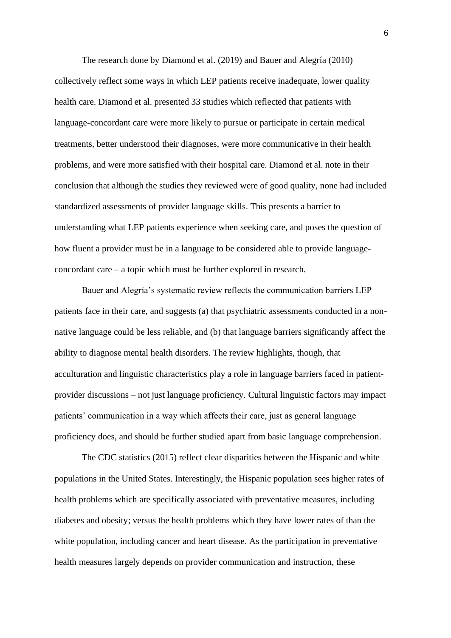The research done by Diamond et al. (2019) and Bauer and Alegría (2010) collectively reflect some ways in which LEP patients receive inadequate, lower quality health care. Diamond et al. presented 33 studies which reflected that patients with language-concordant care were more likely to pursue or participate in certain medical treatments, better understood their diagnoses, were more communicative in their health problems, and were more satisfied with their hospital care. Diamond et al. note in their conclusion that although the studies they reviewed were of good quality, none had included standardized assessments of provider language skills. This presents a barrier to understanding what LEP patients experience when seeking care, and poses the question of how fluent a provider must be in a language to be considered able to provide languageconcordant care – a topic which must be further explored in research.

Bauer and Alegría's systematic review reflects the communication barriers LEP patients face in their care, and suggests (a) that psychiatric assessments conducted in a nonnative language could be less reliable, and (b) that language barriers significantly affect the ability to diagnose mental health disorders. The review highlights, though, that acculturation and linguistic characteristics play a role in language barriers faced in patientprovider discussions – not just language proficiency. Cultural linguistic factors may impact patients' communication in a way which affects their care, just as general language proficiency does, and should be further studied apart from basic language comprehension.

The CDC statistics (2015) reflect clear disparities between the Hispanic and white populations in the United States. Interestingly, the Hispanic population sees higher rates of health problems which are specifically associated with preventative measures, including diabetes and obesity; versus the health problems which they have lower rates of than the white population, including cancer and heart disease. As the participation in preventative health measures largely depends on provider communication and instruction, these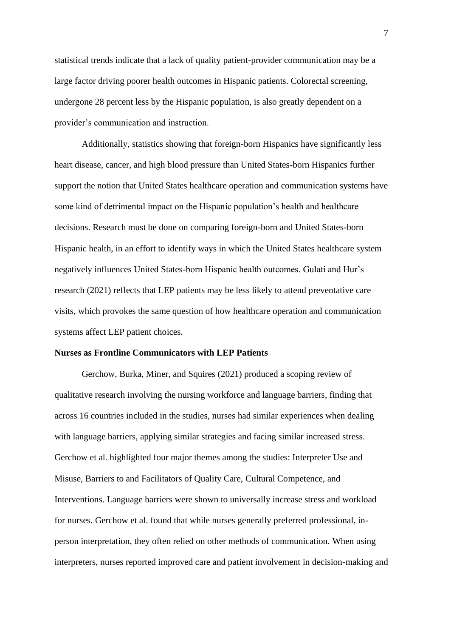statistical trends indicate that a lack of quality patient-provider communication may be a large factor driving poorer health outcomes in Hispanic patients. Colorectal screening, undergone 28 percent less by the Hispanic population, is also greatly dependent on a provider's communication and instruction.

Additionally, statistics showing that foreign-born Hispanics have significantly less heart disease, cancer, and high blood pressure than United States-born Hispanics further support the notion that United States healthcare operation and communication systems have some kind of detrimental impact on the Hispanic population's health and healthcare decisions. Research must be done on comparing foreign-born and United States-born Hispanic health, in an effort to identify ways in which the United States healthcare system negatively influences United States-born Hispanic health outcomes. Gulati and Hur's research (2021) reflects that LEP patients may be less likely to attend preventative care visits, which provokes the same question of how healthcare operation and communication systems affect LEP patient choices.

## **Nurses as Frontline Communicators with LEP Patients**

Gerchow, Burka, Miner, and Squires (2021) produced a scoping review of qualitative research involving the nursing workforce and language barriers, finding that across 16 countries included in the studies, nurses had similar experiences when dealing with language barriers, applying similar strategies and facing similar increased stress. Gerchow et al. highlighted four major themes among the studies: Interpreter Use and Misuse, Barriers to and Facilitators of Quality Care, Cultural Competence, and Interventions. Language barriers were shown to universally increase stress and workload for nurses. Gerchow et al. found that while nurses generally preferred professional, inperson interpretation, they often relied on other methods of communication. When using interpreters, nurses reported improved care and patient involvement in decision-making and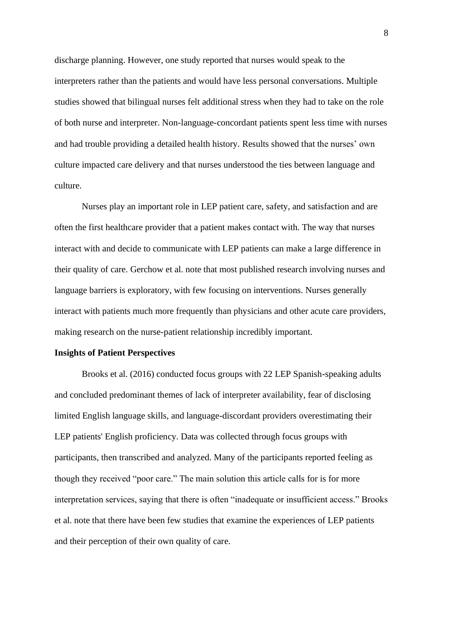discharge planning. However, one study reported that nurses would speak to the interpreters rather than the patients and would have less personal conversations. Multiple studies showed that bilingual nurses felt additional stress when they had to take on the role of both nurse and interpreter. Non-language-concordant patients spent less time with nurses and had trouble providing a detailed health history. Results showed that the nurses' own culture impacted care delivery and that nurses understood the ties between language and culture.

Nurses play an important role in LEP patient care, safety, and satisfaction and are often the first healthcare provider that a patient makes contact with. The way that nurses interact with and decide to communicate with LEP patients can make a large difference in their quality of care. Gerchow et al. note that most published research involving nurses and language barriers is exploratory, with few focusing on interventions. Nurses generally interact with patients much more frequently than physicians and other acute care providers, making research on the nurse-patient relationship incredibly important.

## **Insights of Patient Perspectives**

Brooks et al. (2016) conducted focus groups with 22 LEP Spanish-speaking adults and concluded predominant themes of lack of interpreter availability, fear of disclosing limited English language skills, and language-discordant providers overestimating their LEP patients' English proficiency. Data was collected through focus groups with participants, then transcribed and analyzed. Many of the participants reported feeling as though they received "poor care." The main solution this article calls for is for more interpretation services, saying that there is often "inadequate or insufficient access." Brooks et al. note that there have been few studies that examine the experiences of LEP patients and their perception of their own quality of care.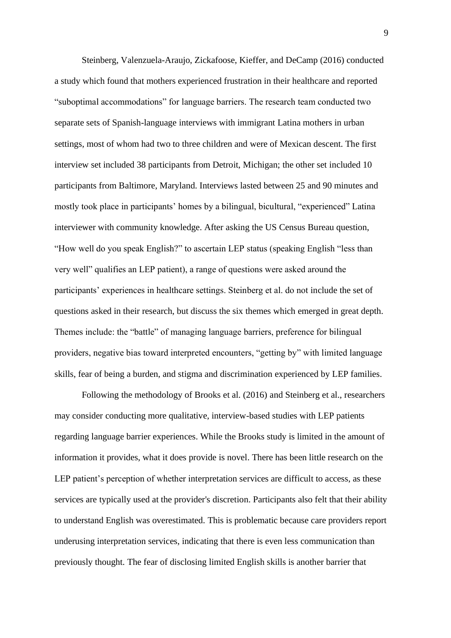Steinberg, Valenzuela-Araujo, Zickafoose, Kieffer, and DeCamp (2016) conducted a study which found that mothers experienced frustration in their healthcare and reported "suboptimal accommodations" for language barriers. The research team conducted two separate sets of Spanish-language interviews with immigrant Latina mothers in urban settings, most of whom had two to three children and were of Mexican descent. The first interview set included 38 participants from Detroit, Michigan; the other set included 10 participants from Baltimore, Maryland. Interviews lasted between 25 and 90 minutes and mostly took place in participants' homes by a bilingual, bicultural, "experienced" Latina interviewer with community knowledge. After asking the US Census Bureau question, "How well do you speak English?" to ascertain LEP status (speaking English "less than very well" qualifies an LEP patient), a range of questions were asked around the participants' experiences in healthcare settings. Steinberg et al. do not include the set of questions asked in their research, but discuss the six themes which emerged in great depth. Themes include: the "battle" of managing language barriers, preference for bilingual providers, negative bias toward interpreted encounters, "getting by" with limited language skills, fear of being a burden, and stigma and discrimination experienced by LEP families.

Following the methodology of Brooks et al. (2016) and Steinberg et al., researchers may consider conducting more qualitative, interview-based studies with LEP patients regarding language barrier experiences. While the Brooks study is limited in the amount of information it provides, what it does provide is novel. There has been little research on the LEP patient's perception of whether interpretation services are difficult to access, as these services are typically used at the provider's discretion. Participants also felt that their ability to understand English was overestimated. This is problematic because care providers report underusing interpretation services, indicating that there is even less communication than previously thought. The fear of disclosing limited English skills is another barrier that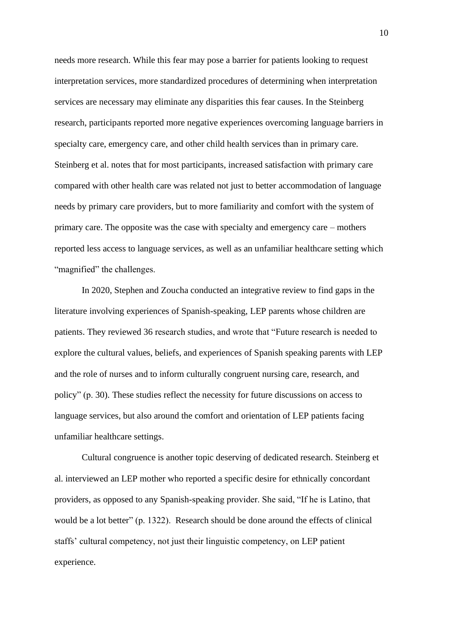needs more research. While this fear may pose a barrier for patients looking to request interpretation services, more standardized procedures of determining when interpretation services are necessary may eliminate any disparities this fear causes. In the Steinberg research, participants reported more negative experiences overcoming language barriers in specialty care, emergency care, and other child health services than in primary care. Steinberg et al. notes that for most participants, increased satisfaction with primary care compared with other health care was related not just to better accommodation of language needs by primary care providers, but to more familiarity and comfort with the system of primary care. The opposite was the case with specialty and emergency care – mothers reported less access to language services, as well as an unfamiliar healthcare setting which "magnified" the challenges.

In 2020, Stephen and Zoucha conducted an integrative review to find gaps in the literature involving experiences of Spanish-speaking, LEP parents whose children are patients. They reviewed 36 research studies, and wrote that "Future research is needed to explore the cultural values, beliefs, and experiences of Spanish speaking parents with LEP and the role of nurses and to inform culturally congruent nursing care, research, and policy" (p. 30). These studies reflect the necessity for future discussions on access to language services, but also around the comfort and orientation of LEP patients facing unfamiliar healthcare settings.

Cultural congruence is another topic deserving of dedicated research. Steinberg et al. interviewed an LEP mother who reported a specific desire for ethnically concordant providers, as opposed to any Spanish-speaking provider. She said, "If he is Latino, that would be a lot better" (p. 1322). Research should be done around the effects of clinical staffs' cultural competency, not just their linguistic competency, on LEP patient experience.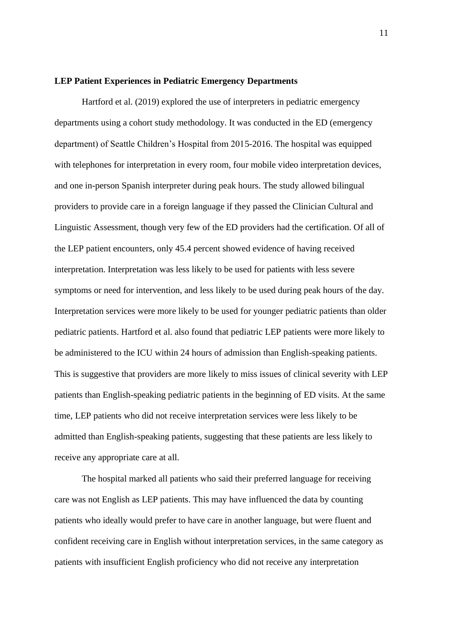#### **LEP Patient Experiences in Pediatric Emergency Departments**

Hartford et al. (2019) explored the use of interpreters in pediatric emergency departments using a cohort study methodology. It was conducted in the ED (emergency department) of Seattle Children's Hospital from 2015-2016. The hospital was equipped with telephones for interpretation in every room, four mobile video interpretation devices, and one in-person Spanish interpreter during peak hours. The study allowed bilingual providers to provide care in a foreign language if they passed the Clinician Cultural and Linguistic Assessment, though very few of the ED providers had the certification. Of all of the LEP patient encounters, only 45.4 percent showed evidence of having received interpretation. Interpretation was less likely to be used for patients with less severe symptoms or need for intervention, and less likely to be used during peak hours of the day. Interpretation services were more likely to be used for younger pediatric patients than older pediatric patients. Hartford et al. also found that pediatric LEP patients were more likely to be administered to the ICU within 24 hours of admission than English-speaking patients. This is suggestive that providers are more likely to miss issues of clinical severity with LEP patients than English-speaking pediatric patients in the beginning of ED visits. At the same time, LEP patients who did not receive interpretation services were less likely to be admitted than English-speaking patients, suggesting that these patients are less likely to receive any appropriate care at all.

The hospital marked all patients who said their preferred language for receiving care was not English as LEP patients. This may have influenced the data by counting patients who ideally would prefer to have care in another language, but were fluent and confident receiving care in English without interpretation services, in the same category as patients with insufficient English proficiency who did not receive any interpretation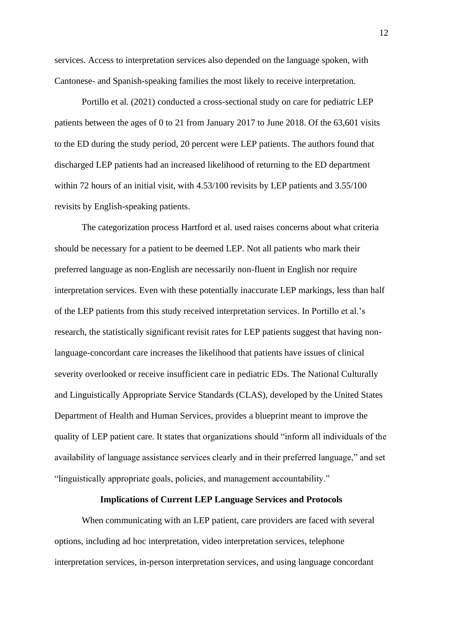services. Access to interpretation services also depended on the language spoken, with Cantonese- and Spanish-speaking families the most likely to receive interpretation.

Portillo et al. (2021) conducted a cross-sectional study on care for pediatric LEP patients between the ages of 0 to 21 from January 2017 to June 2018. Of the 63,601 visits to the ED during the study period, 20 percent were LEP patients. The authors found that discharged LEP patients had an increased likelihood of returning to the ED department within 72 hours of an initial visit, with 4.53/100 revisits by LEP patients and 3.55/100 revisits by English-speaking patients.

The categorization process Hartford et al. used raises concerns about what criteria should be necessary for a patient to be deemed LEP. Not all patients who mark their preferred language as non-English are necessarily non-fluent in English nor require interpretation services. Even with these potentially inaccurate LEP markings, less than half of the LEP patients from this study received interpretation services. In Portillo et al.'s research, the statistically significant revisit rates for LEP patients suggest that having nonlanguage-concordant care increases the likelihood that patients have issues of clinical severity overlooked or receive insufficient care in pediatric EDs. The National Culturally and Linguistically Appropriate Service Standards (CLAS), developed by the United States Department of Health and Human Services, provides a blueprint meant to improve the quality of LEP patient care. It states that organizations should "inform all individuals of the availability of language assistance services clearly and in their preferred language," and set "linguistically appropriate goals, policies, and management accountability."

## **Implications of Current LEP Language Services and Protocols**

When communicating with an LEP patient, care providers are faced with several options, including ad hoc interpretation, video interpretation services, telephone interpretation services, in-person interpretation services, and using language concordant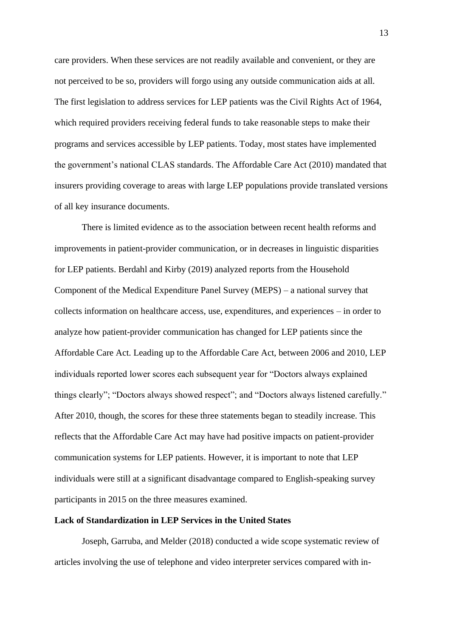care providers. When these services are not readily available and convenient, or they are not perceived to be so, providers will forgo using any outside communication aids at all. The first legislation to address services for LEP patients was the Civil Rights Act of 1964, which required providers receiving federal funds to take reasonable steps to make their programs and services accessible by LEP patients. Today, most states have implemented the government's national CLAS standards. The Affordable Care Act (2010) mandated that insurers providing coverage to areas with large LEP populations provide translated versions of all key insurance documents.

There is limited evidence as to the association between recent health reforms and improvements in patient-provider communication, or in decreases in linguistic disparities for LEP patients. Berdahl and Kirby (2019) analyzed reports from the Household Component of the Medical Expenditure Panel Survey (MEPS) – a national survey that collects information on healthcare access, use, expenditures, and experiences – in order to analyze how patient-provider communication has changed for LEP patients since the Affordable Care Act. Leading up to the Affordable Care Act, between 2006 and 2010, LEP individuals reported lower scores each subsequent year for "Doctors always explained things clearly"; "Doctors always showed respect"; and "Doctors always listened carefully." After 2010, though, the scores for these three statements began to steadily increase. This reflects that the Affordable Care Act may have had positive impacts on patient-provider communication systems for LEP patients. However, it is important to note that LEP individuals were still at a significant disadvantage compared to English-speaking survey participants in 2015 on the three measures examined.

## **Lack of Standardization in LEP Services in the United States**

Joseph, Garruba, and Melder (2018) conducted a wide scope systematic review of articles involving the use of telephone and video interpreter services compared with in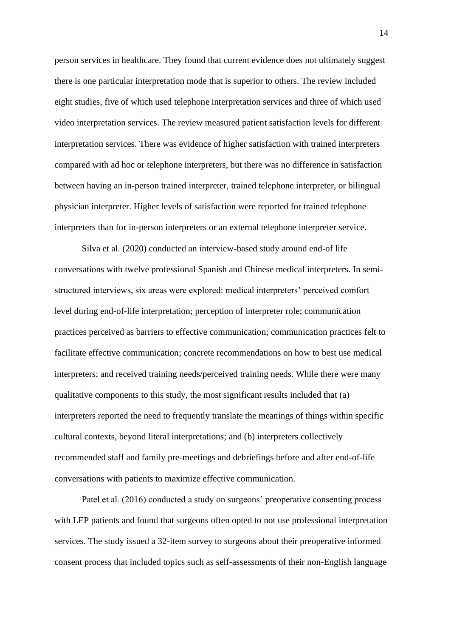person services in healthcare. They found that current evidence does not ultimately suggest there is one particular interpretation mode that is superior to others. The review included eight studies, five of which used telephone interpretation services and three of which used video interpretation services. The review measured patient satisfaction levels for different interpretation services. There was evidence of higher satisfaction with trained interpreters compared with ad hoc or telephone interpreters, but there was no difference in satisfaction between having an in-person trained interpreter, trained telephone interpreter, or bilingual physician interpreter. Higher levels of satisfaction were reported for trained telephone interpreters than for in-person interpreters or an external telephone interpreter service.

Silva et al. (2020) conducted an interview-based study around end-of life conversations with twelve professional Spanish and Chinese medical interpreters. In semistructured interviews, six areas were explored: medical interpreters' perceived comfort level during end-of-life interpretation; perception of interpreter role; communication practices perceived as barriers to effective communication; communication practices felt to facilitate effective communication; concrete recommendations on how to best use medical interpreters; and received training needs/perceived training needs. While there were many qualitative components to this study, the most significant results included that (a) interpreters reported the need to frequently translate the meanings of things within specific cultural contexts, beyond literal interpretations; and (b) interpreters collectively recommended staff and family pre-meetings and debriefings before and after end-of-life conversations with patients to maximize effective communication.

Patel et al. (2016) conducted a study on surgeons' preoperative consenting process with LEP patients and found that surgeons often opted to not use professional interpretation services. The study issued a 32-item survey to surgeons about their preoperative informed consent process that included topics such as self-assessments of their non-English language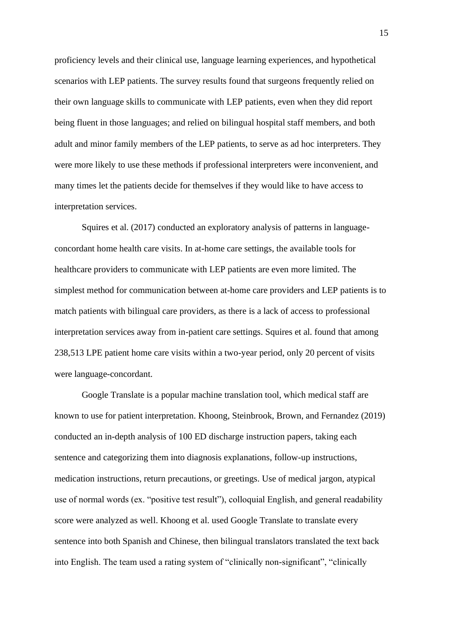proficiency levels and their clinical use, language learning experiences, and hypothetical scenarios with LEP patients. The survey results found that surgeons frequently relied on their own language skills to communicate with LEP patients, even when they did report being fluent in those languages; and relied on bilingual hospital staff members, and both adult and minor family members of the LEP patients, to serve as ad hoc interpreters. They were more likely to use these methods if professional interpreters were inconvenient, and many times let the patients decide for themselves if they would like to have access to interpretation services.

Squires et al. (2017) conducted an exploratory analysis of patterns in languageconcordant home health care visits. In at-home care settings, the available tools for healthcare providers to communicate with LEP patients are even more limited. The simplest method for communication between at-home care providers and LEP patients is to match patients with bilingual care providers, as there is a lack of access to professional interpretation services away from in-patient care settings. Squires et al. found that among 238,513 LPE patient home care visits within a two-year period, only 20 percent of visits were language-concordant.

Google Translate is a popular machine translation tool, which medical staff are known to use for patient interpretation. Khoong, Steinbrook, Brown, and Fernandez (2019) conducted an in-depth analysis of 100 ED discharge instruction papers, taking each sentence and categorizing them into diagnosis explanations, follow-up instructions, medication instructions, return precautions, or greetings. Use of medical jargon, atypical use of normal words (ex. "positive test result"), colloquial English, and general readability score were analyzed as well. Khoong et al. used Google Translate to translate every sentence into both Spanish and Chinese, then bilingual translators translated the text back into English. The team used a rating system of "clinically non-significant", "clinically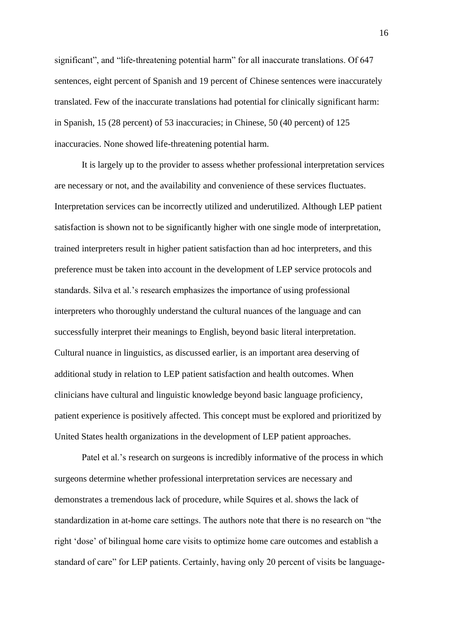significant", and "life-threatening potential harm" for all inaccurate translations. Of 647 sentences, eight percent of Spanish and 19 percent of Chinese sentences were inaccurately translated. Few of the inaccurate translations had potential for clinically significant harm: in Spanish, 15 (28 percent) of 53 inaccuracies; in Chinese, 50 (40 percent) of 125 inaccuracies. None showed life-threatening potential harm.

It is largely up to the provider to assess whether professional interpretation services are necessary or not, and the availability and convenience of these services fluctuates. Interpretation services can be incorrectly utilized and underutilized. Although LEP patient satisfaction is shown not to be significantly higher with one single mode of interpretation, trained interpreters result in higher patient satisfaction than ad hoc interpreters, and this preference must be taken into account in the development of LEP service protocols and standards. Silva et al.'s research emphasizes the importance of using professional interpreters who thoroughly understand the cultural nuances of the language and can successfully interpret their meanings to English, beyond basic literal interpretation. Cultural nuance in linguistics, as discussed earlier, is an important area deserving of additional study in relation to LEP patient satisfaction and health outcomes. When clinicians have cultural and linguistic knowledge beyond basic language proficiency, patient experience is positively affected. This concept must be explored and prioritized by United States health organizations in the development of LEP patient approaches.

Patel et al.'s research on surgeons is incredibly informative of the process in which surgeons determine whether professional interpretation services are necessary and demonstrates a tremendous lack of procedure, while Squires et al. shows the lack of standardization in at-home care settings. The authors note that there is no research on "the right 'dose' of bilingual home care visits to optimize home care outcomes and establish a standard of care" for LEP patients. Certainly, having only 20 percent of visits be language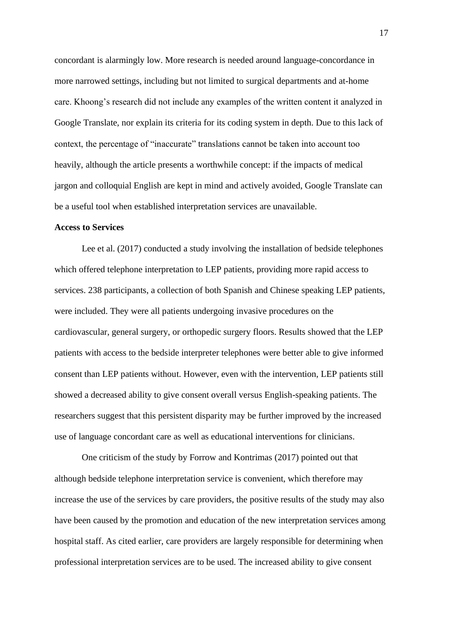concordant is alarmingly low. More research is needed around language-concordance in more narrowed settings, including but not limited to surgical departments and at-home care. Khoong's research did not include any examples of the written content it analyzed in Google Translate, nor explain its criteria for its coding system in depth. Due to this lack of context, the percentage of "inaccurate" translations cannot be taken into account too heavily, although the article presents a worthwhile concept: if the impacts of medical jargon and colloquial English are kept in mind and actively avoided, Google Translate can be a useful tool when established interpretation services are unavailable.

## **Access to Services**

Lee et al. (2017) conducted a study involving the installation of bedside telephones which offered telephone interpretation to LEP patients, providing more rapid access to services. 238 participants, a collection of both Spanish and Chinese speaking LEP patients, were included. They were all patients undergoing invasive procedures on the cardiovascular, general surgery, or orthopedic surgery floors. Results showed that the LEP patients with access to the bedside interpreter telephones were better able to give informed consent than LEP patients without. However, even with the intervention, LEP patients still showed a decreased ability to give consent overall versus English-speaking patients. The researchers suggest that this persistent disparity may be further improved by the increased use of language concordant care as well as educational interventions for clinicians.

One criticism of the study by Forrow and Kontrimas (2017) pointed out that although bedside telephone interpretation service is convenient, which therefore may increase the use of the services by care providers, the positive results of the study may also have been caused by the promotion and education of the new interpretation services among hospital staff. As cited earlier, care providers are largely responsible for determining when professional interpretation services are to be used. The increased ability to give consent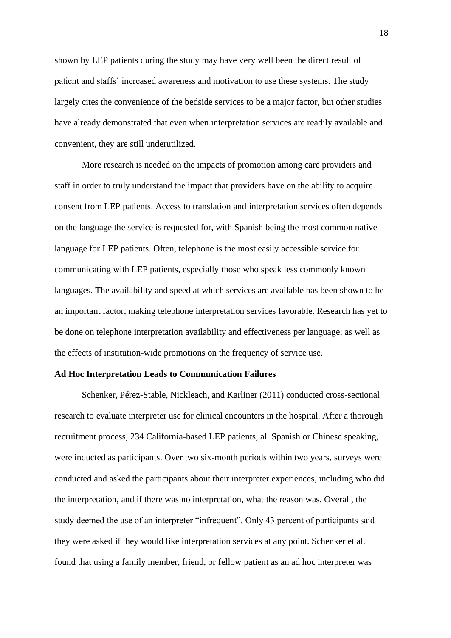shown by LEP patients during the study may have very well been the direct result of patient and staffs' increased awareness and motivation to use these systems. The study largely cites the convenience of the bedside services to be a major factor, but other studies have already demonstrated that even when interpretation services are readily available and convenient, they are still underutilized.

More research is needed on the impacts of promotion among care providers and staff in order to truly understand the impact that providers have on the ability to acquire consent from LEP patients. Access to translation and interpretation services often depends on the language the service is requested for, with Spanish being the most common native language for LEP patients. Often, telephone is the most easily accessible service for communicating with LEP patients, especially those who speak less commonly known languages. The availability and speed at which services are available has been shown to be an important factor, making telephone interpretation services favorable. Research has yet to be done on telephone interpretation availability and effectiveness per language; as well as the effects of institution-wide promotions on the frequency of service use.

#### **Ad Hoc Interpretation Leads to Communication Failures**

Schenker, Pérez-Stable, Nickleach, and Karliner (2011) conducted cross-sectional research to evaluate interpreter use for clinical encounters in the hospital. After a thorough recruitment process, 234 California-based LEP patients, all Spanish or Chinese speaking, were inducted as participants. Over two six-month periods within two years, surveys were conducted and asked the participants about their interpreter experiences, including who did the interpretation, and if there was no interpretation, what the reason was. Overall, the study deemed the use of an interpreter "infrequent". Only 43 percent of participants said they were asked if they would like interpretation services at any point. Schenker et al. found that using a family member, friend, or fellow patient as an ad hoc interpreter was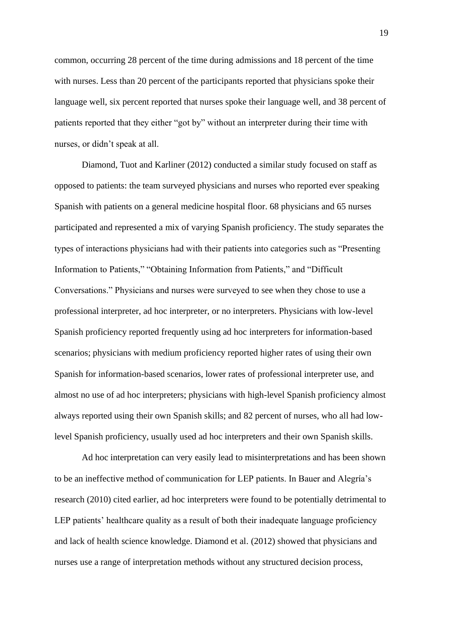common, occurring 28 percent of the time during admissions and 18 percent of the time with nurses. Less than 20 percent of the participants reported that physicians spoke their language well, six percent reported that nurses spoke their language well, and 38 percent of patients reported that they either "got by" without an interpreter during their time with nurses, or didn't speak at all.

Diamond, Tuot and Karliner (2012) conducted a similar study focused on staff as opposed to patients: the team surveyed physicians and nurses who reported ever speaking Spanish with patients on a general medicine hospital floor. 68 physicians and 65 nurses participated and represented a mix of varying Spanish proficiency. The study separates the types of interactions physicians had with their patients into categories such as "Presenting Information to Patients," "Obtaining Information from Patients," and "Difficult Conversations." Physicians and nurses were surveyed to see when they chose to use a professional interpreter, ad hoc interpreter, or no interpreters. Physicians with low-level Spanish proficiency reported frequently using ad hoc interpreters for information-based scenarios; physicians with medium proficiency reported higher rates of using their own Spanish for information-based scenarios, lower rates of professional interpreter use, and almost no use of ad hoc interpreters; physicians with high-level Spanish proficiency almost always reported using their own Spanish skills; and 82 percent of nurses, who all had lowlevel Spanish proficiency, usually used ad hoc interpreters and their own Spanish skills.

Ad hoc interpretation can very easily lead to misinterpretations and has been shown to be an ineffective method of communication for LEP patients. In Bauer and Alegría's research (2010) cited earlier, ad hoc interpreters were found to be potentially detrimental to LEP patients' healthcare quality as a result of both their inadequate language proficiency and lack of health science knowledge. Diamond et al. (2012) showed that physicians and nurses use a range of interpretation methods without any structured decision process,

19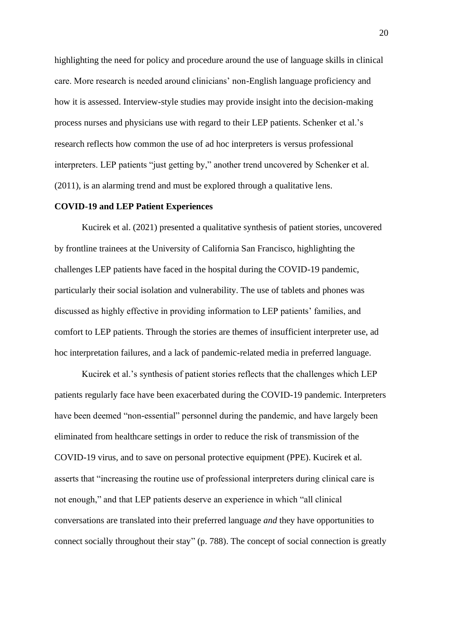highlighting the need for policy and procedure around the use of language skills in clinical care. More research is needed around clinicians' non-English language proficiency and how it is assessed. Interview-style studies may provide insight into the decision-making process nurses and physicians use with regard to their LEP patients. Schenker et al.'s research reflects how common the use of ad hoc interpreters is versus professional interpreters. LEP patients "just getting by," another trend uncovered by Schenker et al. (2011), is an alarming trend and must be explored through a qualitative lens.

## **COVID-19 and LEP Patient Experiences**

Kucirek et al. (2021) presented a qualitative synthesis of patient stories, uncovered by frontline trainees at the University of California San Francisco, highlighting the challenges LEP patients have faced in the hospital during the COVID-19 pandemic, particularly their social isolation and vulnerability. The use of tablets and phones was discussed as highly effective in providing information to LEP patients' families, and comfort to LEP patients. Through the stories are themes of insufficient interpreter use, ad hoc interpretation failures, and a lack of pandemic-related media in preferred language.

Kucirek et al.'s synthesis of patient stories reflects that the challenges which LEP patients regularly face have been exacerbated during the COVID-19 pandemic. Interpreters have been deemed "non-essential" personnel during the pandemic, and have largely been eliminated from healthcare settings in order to reduce the risk of transmission of the COVID-19 virus, and to save on personal protective equipment (PPE). Kucirek et al. asserts that "increasing the routine use of professional interpreters during clinical care is not enough," and that LEP patients deserve an experience in which "all clinical conversations are translated into their preferred language *and* they have opportunities to connect socially throughout their stay" (p. 788). The concept of social connection is greatly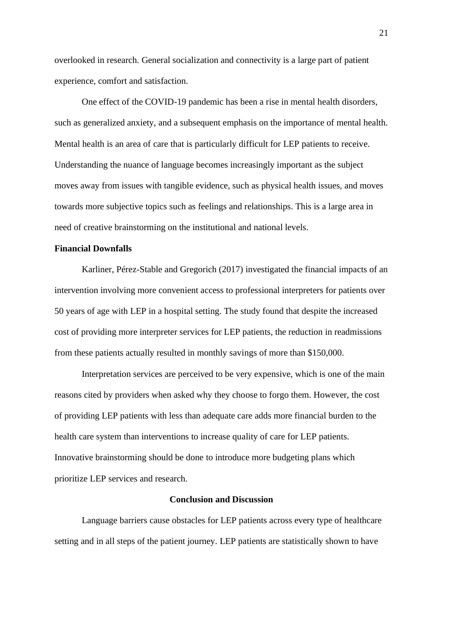overlooked in research. General socialization and connectivity is a large part of patient experience, comfort and satisfaction.

One effect of the COVID-19 pandemic has been a rise in mental health disorders, such as generalized anxiety, and a subsequent emphasis on the importance of mental health. Mental health is an area of care that is particularly difficult for LEP patients to receive. Understanding the nuance of language becomes increasingly important as the subject moves away from issues with tangible evidence, such as physical health issues, and moves towards more subjective topics such as feelings and relationships. This is a large area in need of creative brainstorming on the institutional and national levels.

## **Financial Downfalls**

Karliner, Pérez-Stable and Gregorich (2017) investigated the financial impacts of an intervention involving more convenient access to professional interpreters for patients over 50 years of age with LEP in a hospital setting. The study found that despite the increased cost of providing more interpreter services for LEP patients, the reduction in readmissions from these patients actually resulted in monthly savings of more than \$150,000.

Interpretation services are perceived to be very expensive, which is one of the main reasons cited by providers when asked why they choose to forgo them. However, the cost of providing LEP patients with less than adequate care adds more financial burden to the health care system than interventions to increase quality of care for LEP patients. Innovative brainstorming should be done to introduce more budgeting plans which prioritize LEP services and research.

## **Conclusion and Discussion**

Language barriers cause obstacles for LEP patients across every type of healthcare setting and in all steps of the patient journey. LEP patients are statistically shown to have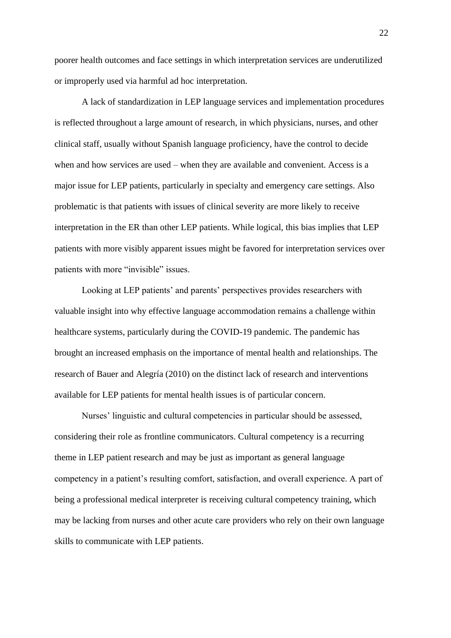poorer health outcomes and face settings in which interpretation services are underutilized or improperly used via harmful ad hoc interpretation.

A lack of standardization in LEP language services and implementation procedures is reflected throughout a large amount of research, in which physicians, nurses, and other clinical staff, usually without Spanish language proficiency, have the control to decide when and how services are used – when they are available and convenient. Access is a major issue for LEP patients, particularly in specialty and emergency care settings. Also problematic is that patients with issues of clinical severity are more likely to receive interpretation in the ER than other LEP patients. While logical, this bias implies that LEP patients with more visibly apparent issues might be favored for interpretation services over patients with more "invisible" issues.

Looking at LEP patients' and parents' perspectives provides researchers with valuable insight into why effective language accommodation remains a challenge within healthcare systems, particularly during the COVID-19 pandemic. The pandemic has brought an increased emphasis on the importance of mental health and relationships. The research of Bauer and Alegría (2010) on the distinct lack of research and interventions available for LEP patients for mental health issues is of particular concern.

Nurses' linguistic and cultural competencies in particular should be assessed, considering their role as frontline communicators. Cultural competency is a recurring theme in LEP patient research and may be just as important as general language competency in a patient's resulting comfort, satisfaction, and overall experience. A part of being a professional medical interpreter is receiving cultural competency training, which may be lacking from nurses and other acute care providers who rely on their own language skills to communicate with LEP patients.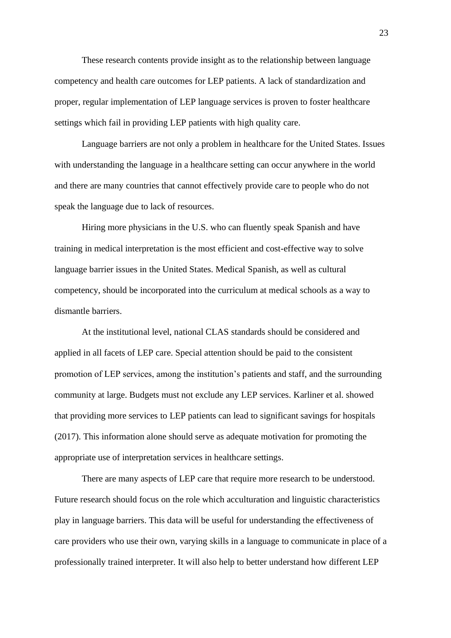These research contents provide insight as to the relationship between language competency and health care outcomes for LEP patients. A lack of standardization and proper, regular implementation of LEP language services is proven to foster healthcare settings which fail in providing LEP patients with high quality care.

Language barriers are not only a problem in healthcare for the United States. Issues with understanding the language in a healthcare setting can occur anywhere in the world and there are many countries that cannot effectively provide care to people who do not speak the language due to lack of resources.

Hiring more physicians in the U.S. who can fluently speak Spanish and have training in medical interpretation is the most efficient and cost-effective way to solve language barrier issues in the United States. Medical Spanish, as well as cultural competency, should be incorporated into the curriculum at medical schools as a way to dismantle barriers.

At the institutional level, national CLAS standards should be considered and applied in all facets of LEP care. Special attention should be paid to the consistent promotion of LEP services, among the institution's patients and staff, and the surrounding community at large. Budgets must not exclude any LEP services. Karliner et al. showed that providing more services to LEP patients can lead to significant savings for hospitals (2017). This information alone should serve as adequate motivation for promoting the appropriate use of interpretation services in healthcare settings.

There are many aspects of LEP care that require more research to be understood. Future research should focus on the role which acculturation and linguistic characteristics play in language barriers. This data will be useful for understanding the effectiveness of care providers who use their own, varying skills in a language to communicate in place of a professionally trained interpreter. It will also help to better understand how different LEP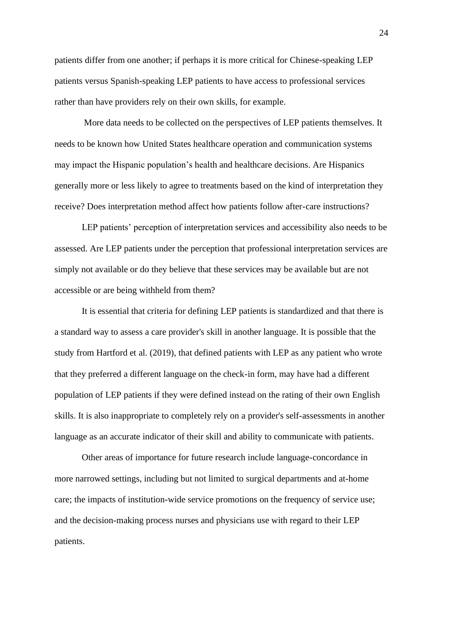patients differ from one another; if perhaps it is more critical for Chinese-speaking LEP patients versus Spanish-speaking LEP patients to have access to professional services rather than have providers rely on their own skills, for example.

More data needs to be collected on the perspectives of LEP patients themselves. It needs to be known how United States healthcare operation and communication systems may impact the Hispanic population's health and healthcare decisions. Are Hispanics generally more or less likely to agree to treatments based on the kind of interpretation they receive? Does interpretation method affect how patients follow after-care instructions?

LEP patients' perception of interpretation services and accessibility also needs to be assessed. Are LEP patients under the perception that professional interpretation services are simply not available or do they believe that these services may be available but are not accessible or are being withheld from them?

It is essential that criteria for defining LEP patients is standardized and that there is a standard way to assess a care provider's skill in another language. It is possible that the study from Hartford et al. (2019), that defined patients with LEP as any patient who wrote that they preferred a different language on the check-in form, may have had a different population of LEP patients if they were defined instead on the rating of their own English skills. It is also inappropriate to completely rely on a provider's self-assessments in another language as an accurate indicator of their skill and ability to communicate with patients.

Other areas of importance for future research include language-concordance in more narrowed settings, including but not limited to surgical departments and at-home care; the impacts of institution-wide service promotions on the frequency of service use; and the decision-making process nurses and physicians use with regard to their LEP patients.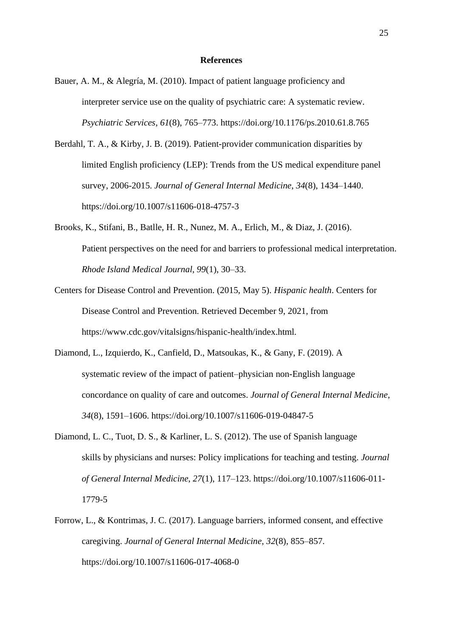#### **References**

- Bauer, A. M., & Alegría, M. (2010). Impact of patient language proficiency and interpreter service use on the quality of psychiatric care: A systematic review. *Psychiatric Services*, *61*(8), 765–773. https://doi.org/10.1176/ps.2010.61.8.765
- Berdahl, T. A., & Kirby, J. B. (2019). Patient-provider communication disparities by limited English proficiency (LEP): Trends from the US medical expenditure panel survey, 2006-2015. *Journal of General Internal Medicine*, *34*(8), 1434–1440. https://doi.org/10.1007/s11606-018-4757-3
- Brooks, K., Stifani, B., Batlle, H. R., Nunez, M. A., Erlich, M., & Diaz, J. (2016). Patient perspectives on the need for and barriers to professional medical interpretation. *Rhode Island Medical Journal*, *99*(1), 30–33.
- Centers for Disease Control and Prevention. (2015, May 5). *Hispanic health*. Centers for Disease Control and Prevention. Retrieved December 9, 2021, from https://www.cdc.gov/vitalsigns/hispanic-health/index.html.
- Diamond, L., Izquierdo, K., Canfield, D., Matsoukas, K., & Gany, F. (2019). A systematic review of the impact of patient–physician non-English language concordance on quality of care and outcomes. *Journal of General Internal Medicine*, *34*(8), 1591–1606. https://doi.org/10.1007/s11606-019-04847-5
- Diamond, L. C., Tuot, D. S., & Karliner, L. S. (2012). The use of Spanish language skills by physicians and nurses: Policy implications for teaching and testing. *Journal of General Internal Medicine*, *27*(1), 117–123. https://doi.org/10.1007/s11606-011- 1779-5
- Forrow, L., & Kontrimas, J. C. (2017). Language barriers, informed consent, and effective caregiving. *Journal of General Internal Medicine*, *32*(8), 855–857. https://doi.org/10.1007/s11606-017-4068-0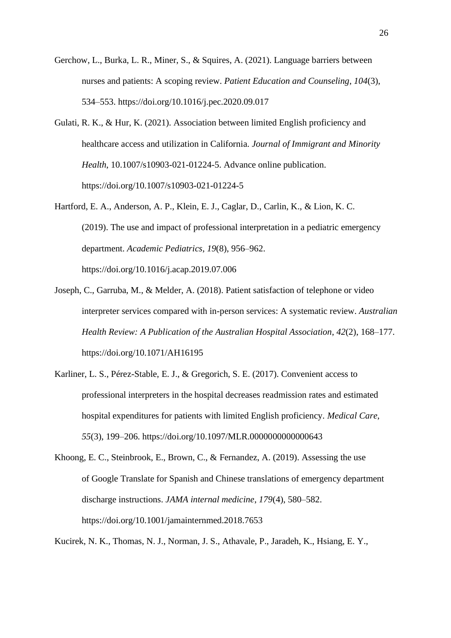- Gerchow, L., Burka, L. R., Miner, S., & Squires, A. (2021). Language barriers between nurses and patients: A scoping review. *Patient Education and Counseling*, *104*(3), 534–553. https://doi.org/10.1016/j.pec.2020.09.017
- Gulati, R. K., & Hur, K. (2021). Association between limited English proficiency and healthcare access and utilization in California. *Journal of Immigrant and Minority Health*, 10.1007/s10903-021-01224-5. Advance online publication. https://doi.org/10.1007/s10903-021-01224-5
- Hartford, E. A., Anderson, A. P., Klein, E. J., Caglar, D., Carlin, K., & Lion, K. C. (2019). The use and impact of professional interpretation in a pediatric emergency department. *Academic Pediatrics*, *19*(8), 956–962. https://doi.org/10.1016/j.acap.2019.07.006
- Joseph, C., Garruba, M., & Melder, A. (2018). Patient satisfaction of telephone or video interpreter services compared with in-person services: A systematic review. *Australian Health Review: A Publication of the Australian Hospital Association*, *42*(2), 168–177. https://doi.org/10.1071/AH16195
- Karliner, L. S., Pérez-Stable, E. J., & Gregorich, S. E. (2017). Convenient access to professional interpreters in the hospital decreases readmission rates and estimated hospital expenditures for patients with limited English proficiency. *Medical Care*, *55*(3), 199–206. https://doi.org/10.1097/MLR.0000000000000643
- Khoong, E. C., Steinbrook, E., Brown, C., & Fernandez, A. (2019). Assessing the use of Google Translate for Spanish and Chinese translations of emergency department discharge instructions. *JAMA internal medicine*, *179*(4), 580–582. https://doi.org/10.1001/jamainternmed.2018.7653

Kucirek, N. K., Thomas, N. J., Norman, J. S., Athavale, P., Jaradeh, K., Hsiang, E. Y.,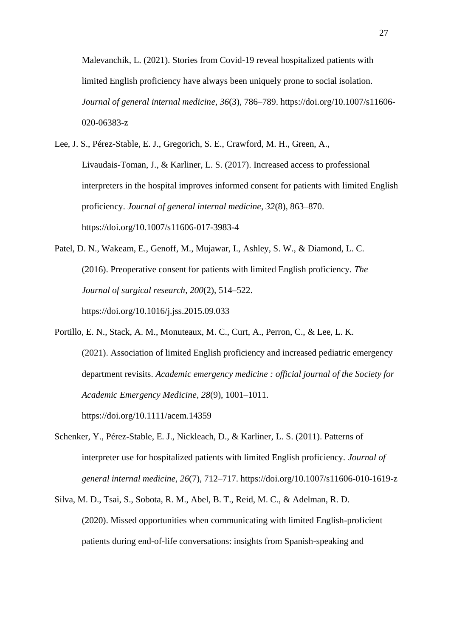Malevanchik, L. (2021). Stories from Covid-19 reveal hospitalized patients with limited English proficiency have always been uniquely prone to social isolation. *Journal of general internal medicine*, *36*(3), 786–789. https://doi.org/10.1007/s11606- 020-06383-z

- Lee, J. S., Pérez-Stable, E. J., Gregorich, S. E., Crawford, M. H., Green, A., Livaudais-Toman, J., & Karliner, L. S. (2017). Increased access to professional interpreters in the hospital improves informed consent for patients with limited English proficiency. *Journal of general internal medicine*, *32*(8), 863–870. https://doi.org/10.1007/s11606-017-3983-4
- Patel, D. N., Wakeam, E., Genoff, M., Mujawar, I., Ashley, S. W., & Diamond, L. C. (2016). Preoperative consent for patients with limited English proficiency. *The Journal of surgical research*, *200*(2), 514–522. https://doi.org/10.1016/j.jss.2015.09.033
- Portillo, E. N., Stack, A. M., Monuteaux, M. C., Curt, A., Perron, C., & Lee, L. K. (2021). Association of limited English proficiency and increased pediatric emergency department revisits. *Academic emergency medicine : official journal of the Society for Academic Emergency Medicine*, *28*(9), 1001–1011. https://doi.org/10.1111/acem.14359
- Schenker, Y., Pérez-Stable, E. J., Nickleach, D., & Karliner, L. S. (2011). Patterns of interpreter use for hospitalized patients with limited English proficiency. *Journal of general internal medicine*, *26*(7), 712–717. https://doi.org/10.1007/s11606-010-1619-z
- Silva, M. D., Tsai, S., Sobota, R. M., Abel, B. T., Reid, M. C., & Adelman, R. D. (2020). Missed opportunities when communicating with limited English-proficient patients during end-of-life conversations: insights from Spanish-speaking and